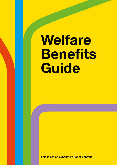# **Welfare Benefits Guide**

**This is not an exhaustive list of benefits.**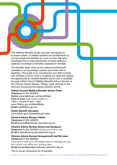This Welfare Benefits Guide has been developed to increase uptake of welfare benefits and entitlements by young people and families on a low income. We have developed this to help specifically increase staff and parental knowledge of benefits available for families.

The benefits listed show all the relevant entitlements available to young people, parents and those with a disability. This guide is for practitioners and staff working with families to show what is available but does not replace the opportunity for welfare benefits advice that is available through Falkirk Council Welfare Benefits Advice Service or the Citizens Advice Bureau. Please make referrals to the services should anyone require benefits advice.

#### **Falkirk Council Welfare Benefits Advice Team**

Telephone 01324 503063 Online www.falkirk.gov.uk/benefithelp Face to Face (web based platform) 10am -12noon & 2pm - 4pm www.Falkirk.gov.uk/benefithelp Email cas@falkirk.gov.uk

**Online Benefit calculator**  www.falkirk.gov.uk/benefitscalculator

#### **Citizens Advice Bureau Falkirk**

Telephone 01324 626070 Email bureau@falkirkcab.casonline.org.uk

#### **Citizens Advice Bureau Denny and Dunipace**

Telephone 01324 829160 (Advice and Admin line) Email bureau@dennycab.casonline.org.uk

#### **Citizens Advice Bureau Grangemouth and Bo'ness** Telephone 01324 666935.

If we cannot take your call please leave a message and we will contact you within two working days. Email bureau@grangemouthcab.casonline.org.uk

#### This is not an exhaustive list of benefits.

If you have any comments or feedback on the use of this guide please contact fairerfalkirk@falkirk.gov.uk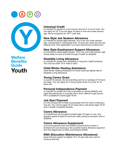



**Welfare Benefits Guide Youth**

# **[Universal Credit](https://www.falkirk.gov.uk/services/benefits-support/universal-credit.aspx)**

is a benefit for people on a low income who are in or out of work. You can apply for UC if you are aged 18 years or over and under pension age. Some exceptions for 16/17 year olds.

# **[New Style Job Seekers Allowance](https://www.falkirk.gov.uk/services/benefits-support/new-style-jsa.aspx)**

is a benefit for people aged between 16 or over and under pension age, unemployed or working less than 16 hours per week and who are seeking work. Only applicable if you have had previous employment.

# **[New Style Employment Support Allowance](https://www.falkirk.gov.uk/services/benefits-support/new-style-esa.aspx)**

is a benefit for adults aged between 16 or over and under pension age whose ability to work is limited through ill health or disability.

#### **[Disability Living Allowance](https://www.falkirk.gov.uk/services/benefits-support/dla-child.aspx)**

is a benefit for people with disabilities or long term health problems. You must be under 16 to make a claim.

#### **[Child Winter Heating Assistance](https://www.falkirk.gov.uk/services/benefits-support/child-winter.aspx)**

Child Winter Heating Assistance for those receiving highest rate of Disability Living Allowance.

# **[Young Carers Grant](https://www.falkirk.gov.uk/services/benefits-support/young-carers-grant.aspx)**

is a grant for people who are providing care for an average of 16 hours per week. You can apply for a Young Carers Grant if you are 16-18 years old.

#### **[Personal Independence Payment](https://www.falkirk.gov.uk/services/benefits-support/personal-independence-payment.aspx)**

is a benefit for people who have a physical or mental disability and need help taking part in everyday life or find it difficult to get around. PIP is available for adults aged 16-64.

#### **[Job Start Payment](https://www.falkirk.gov.uk/services/benefits-support/job-start-payment.aspx)**

is a one off payment to help young people with the costs of starting a new job. You must be aged 16-24 years old or care leaver aged 16-25 and in receipt of specific benefits.

#### **[Carers Allowance](https://www.falkirk.gov.uk/services/benefits-support/carers-allowance.aspx)**

is a benefit that can be paid to people aged 16 years or over, who regularly spend at least 35 hours per week caring for someone who is disabled.

#### **[Carers Allowance Supplement](https://www.falkirk.gov.uk/services/benefits-support/carers-allowance-supplement.aspx)**

is an extra payment from the Scottish Government to carers in Scotland who are receiving a full or partial Carer's Allowance payment from the Department of Work and Pensions (DWP).

#### **[EMA \(Education Maintenance Allowance\)](https://www.falkirk.gov.uk/services/schools-education/education-benefits-support/education-maintenance-allowance/)**

gives financial support to eligible 16 to 19 year olds who want to continue learning.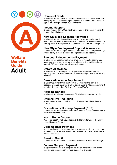



**Welfare Benefits Guide Adult**

# **[Universal Credit](https://www.falkirk.gov.uk/services/benefits-support/universal-credit.aspx)**

is a benefit for people on a low income who are in or out of work. You can apply for UC if you are aged 18 years or over and under pension age. (Some exceptions for 16/17 year olds)

#### **[Income Support](https://www.falkirk.gov.uk/services/benefits-support/income-support.aspx)**

is being replaced by UC and only applicable to the person if currently in receipt of this benefit.

#### **[New Style Job Seekers Allowance](https://www.falkirk.gov.uk/services/benefits-support/new-style-jsa.aspx)**

is a benefit for people aged between 16 or over and under pension age, unemployed or working less than 16 hours per week and who are seeking work. (Only applicable if you have had previous employment)

# **[New Style Employment Support Allowance](https://www.falkirk.gov.uk/services/benefits-support/new-style-esa.aspx)**

is a benefit for adults aged between 16 or over and under pension age whose ability to work is limited through ill health or disability.

# **[Personal Independence Payment](https://www.falkirk.gov.uk/services/benefits-support/personal-independence-payment.aspx)**

is a benefit for people who have a physical or mental disability and need help taking part in personal care tasks or find it difficult to get around. PIP is available for adults aged 16-64.

# **[Carers Allowance](https://www.falkirk.gov.uk/services/benefits-support/carers-allowance.aspx)**

is a benefit that can be paid to people aged 16 years or over, who regularly spend at least 35 hours per week caring for someone who is disabled.

#### **[Carers Allowance Supplement](https://www.falkirk.gov.uk/services/benefits-support/carers-allowance-supplement.aspx)**

is an extra payment from the Scottish Government to carers in Scotland who are receiving a full or partial Carer's Allowance payment from the Department of Work and Pensions (DWP).

# **[Housing Benefit](https://www.falkirk.gov.uk/services/homes-property/council-housing/rent/help-paying-your-rent.aspx)**

is a benefit to help with rents costs. This is being replaced by UC.

# **[Council Tax Reduction](https://www.falkirk.gov.uk/services/council-tax/help-paying/)**

is help towards your council tax bill only applicable where there is liability.

# **[Discretionary Housing Payment \(DHP\)](https://www.falkirk.gov.uk/services/homes-property/council-housing/rent/discretionary-housing-payments.aspx)**

is a benefit for people who need further financial assistance in order to meet their housing costs.

#### **[Warm Home Discount](https://www.falkirk.gov.uk/services/benefits-support/warm-home-discount.aspx)**

You could get £140 off your electricity bill for winter under the Warm Home Discount Scheme.

#### **[Cold Weather Payment](https://www.falkirk.gov.uk/services/benefits-support/cold-weather-payment.aspx)**

will be made when the temperature in your area is either recorded as, or forecast to be, an average of zero degrees Celsius or below over 7 consecutive days.

#### **[Pension Credit](https://www.falkirk.gov.uk/services/benefits-support/pension-credit.aspx)**

is a benefit for people on a low income who are at least pension age.

#### **[Funeral Support Payment](https://www.falkirk.gov.uk/services/benefits-support/funeral-support-payment.aspx)**

is a payment available to people who are on certain benefits or tax credits, and need support to meet the cost of a funeral.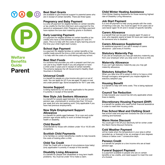



# **Welfare Benefits Guide Parent**

#### **Best Start Grants**

are available to give financial support to parents/carers who are in receipt of certain benefits. There are three types:

#### **[Pregnancy and Baby Payment](https://www.falkirk.gov.uk/services/benefits-support/best-start-grant.aspx)**

is a one off payment for eligible families on certain benefits or tax credits for the first child born and a payment for the second or subsequent child. Pregnancy and Baby payment have replace the sure start maternity grants in Scotland.

#### **[Early Learning Payment](https://www.falkirk.gov.uk/services/benefits-support/early-learning-payment.aspx)**

is a payment for eligible families on certain benefits or tax credits who have a child between the ages of 2 and 3½ years. This is to help with the costs of early learning around the time your child might start nursery.

#### **[School Age Payment](https://www.falkirk.gov.uk/services/benefits-support/school-age-payment.aspx)**

is a payment for eligible families on certain benefits or tax credits made around the time a child normally starts Primary 1 to help with the costs of a child starting primary school.

# **[Best Start Foods](https://www.falkirk.gov.uk/services/benefits-support/best-start-foods.aspx)**

is a scheme that provides you with a prepaid card that you can use to buy health foods if you are pregnant or have a child under 3 years and in receipt of certain benefits. The scheme replaces the UK Government's Healthy Start Vouchers in Scotland.

#### **[Universal Credit](https://www.falkirk.gov.uk/services/benefits-support/universal-credit.aspx)**

is a benefit for people on a low income who are in or out of work. You can apply for UC if you are aged 18 years or over and under pension age. Some exceptions for 16/17 year olds.

# **[Income Support](https://www.falkirk.gov.uk/services/benefits-support/income-support.aspx)**

is being replaced by UC and only applicable to the person if currently in receipt of this benefit.

#### **[New Style Job Seekers Allowance](https://www.falkirk.gov.uk/services/benefits-support/new-style-jsa.aspx)**

is a benefit for people aged between 16 or over and under pension age, unemployed or working less than 16 hours per week and who are seeking work. Only applicable if you have had previous employment).

#### **[New Style Employment Support](https://www.falkirk.gov.uk/services/benefits-support/new-style-esa.aspx)  [Allowance](https://www.falkirk.gov.uk/services/benefits-support/new-style-esa.aspx)**

is a benefit for adults aged between 16 or over and under pension age whose ability to work is limited through ill health or disability.

# **[Child Benefit](https://www.falkirk.gov.uk/services/benefits-support/child-benefit.aspx)**

Child Benefit for those with children under 16 or 16-20 with exceptions.

# **[Scottish Child Payments](https://www.falkirk.gov.uk/services/benefits-support/scottish-child-payment.aspx)**

is for families on certain benefits/tax credits to help towards the costs of looking after a child.

# **[Child Tax Credit](https://www.falkirk.gov.uk/services/benefits-support/child-tax-credit.aspx)**

Child Tax Credit with a change of circumstance (new baby) (only applicable if currently in receipt of this benefit)

# **[Disability Living Allowance](https://www.falkirk.gov.uk/services/benefits-support/dla-child.aspx)**

is a benefit for people with disabilities or long term health problems. You must be under 16 to make a claim.

# **[Child Winter Heating Assistance](https://www.falkirk.gov.uk/services/benefits-support/child-winter.aspx)**

Child Winter Heating Assistance for those receiving highest rate of Disability Living Allowance.

# **[Job Start Payment](https://www.falkirk.gov.uk/services/benefits-support/personal-independence-payment.aspx)**

is a one off payment to help young people with the costs of starting a new job. You must be aged 16-24 years old or care leaver aged 16-25 and in receipt of specific benefits.

# **[Carers Allowance](https://www.falkirk.gov.uk/services/benefits-support/carers-allowance.aspx)**

is a benefit that can be paid to people aged 16 years or over, who regularly spend at least 35 hours per week caring for someone who is disabled.

#### **[Carers Allowance Supplement](https://www.falkirk.gov.uk/services/benefits-support/carers-allowance-supplement.aspx)**

An additional payment if you are in receipt of carers allowance - paid every 6 months.

# **[Statutory Maternity Pay](https://www.gov.uk/maternity-pay-leave)**

If you are an employee you may get statutory maternity pay from your employer when you stop work to have a child.

#### **[Maternity Allowance](https://www.gov.uk/maternity-allowance)**

if you can't get statutory maternity pay you may get maternity allowance.

#### **[Statutory Adoption Pay](https://www.gov.uk/adoption-pay-leave)**

When you take time off to adopt a child or to have a child through surrogacy arrangement you maybe eligible for statutory adoption pay.

#### **[Housing Benefit](https://www.falkirk.gov.uk/services/homes-property/council-housing/rent/help-paying-your-rent.aspx)**

is a benefit to help with rents costs. This is being replaced by UC.

#### **[Council Tax Reduction](https://www.falkirk.gov.uk/services/council-tax/help-paying/)**

is help towards your council tax bill only applicable where there is liability.

#### **[Discretionary Housing Payment \(DHP\)](https://www.falkirk.gov.uk/services/homes-property/council-housing/rent/discretionary-housing-payments.aspx)**

is a benefit for people who need further financial assistance in order to meet their housing costs.

#### **[Free School Meal and Clothing Grant](https://www.falkirk.gov.uk/services/schools-education/education-benefits-support/free-school-meals-clothing-grants/)**

free school meal and payment towards the cost of school clothing and footwear.

#### **[Warm Home Discount](https://www.falkirk.gov.uk/services/benefits-support/warm-home-discount.aspx)**

You could get £140 off your electricity bill for winter under the Warm Home Discount Scheme.

#### **[Cold Weather Payment](https://www.falkirk.gov.uk/services/benefits-support/cold-weather-payment.aspx)**

will be made when the temperature in your area is either recorded as, or forecast to be, an average of zero degrees Celsius or below over 7 consecutive days.

#### **[Pension Credit](https://www.falkirk.gov.uk/services/benefits-support/pension-credit.aspx)**

is a benefit for people on a low income who are at least pension age.

#### **[Funeral Support Payment](https://www.falkirk.gov.uk/services/benefits-support/funeral-support-payment.aspx)**

is a payment available to people who are on certain benefits or tax credits, and need support to meet the cost of a funeral.